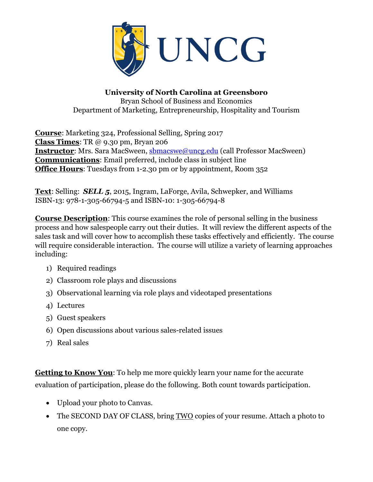

**University of North Carolina at Greensboro** Bryan School of Business and Economics Department of Marketing, Entrepreneurship, Hospitality and Tourism

**Course**: Marketing 324, Professional Selling, Spring 2017 **Class Times**: TR @ 9.30 pm, Bryan 206 **Instructor**: Mrs. Sara MacSween, s**bmacswe@uncg.edu** (call Professor MacSween) **Communications**: Email preferred, include class in subject line **Office Hours:** Tuesdays from 1-2.30 pm or by appointment, Room 352

**Text**: Selling: *SELL 5*, 2015, Ingram, LaForge, Avila, Schwepker, and Williams ISBN-13: 978-1-305-66794-5 and ISBN-10: 1-305-66794-8

**Course Description**: This course examines the role of personal selling in the business process and how salespeople carry out their duties. It will review the different aspects of the sales task and will cover how to accomplish these tasks effectively and efficiently. The course will require considerable interaction. The course will utilize a variety of learning approaches including:

- 1) Required readings
- 2) Classroom role plays and discussions
- 3) Observational learning via role plays and videotaped presentations
- 4) Lectures
- 5) Guest speakers
- 6) Open discussions about various sales-related issues
- 7) Real sales

**Getting to Know You**: To help me more quickly learn your name for the accurate evaluation of participation, please do the following. Both count towards participation.

- Upload your photo to Canvas.
- The SECOND DAY OF CLASS, bring TWO copies of your resume. Attach a photo to one copy.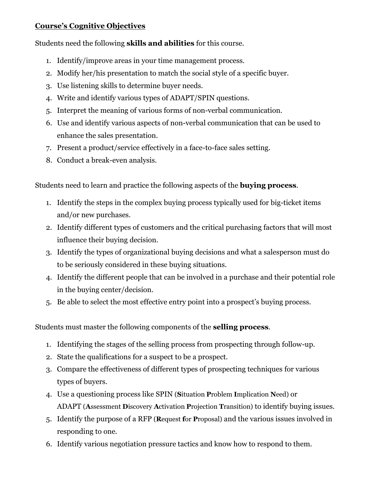## **Course's Cognitive Objectives**

Students need the following **skills and abilities** for this course.

- 1. Identify/improve areas in your time management process.
- 2. Modify her/his presentation to match the social style of a specific buyer.
- 3. Use listening skills to determine buyer needs.
- 4. Write and identify various types of ADAPT/SPIN questions.
- 5. Interpret the meaning of various forms of non-verbal communication.
- 6. Use and identify various aspects of non-verbal communication that can be used to enhance the sales presentation.
- 7. Present a product/service effectively in a face-to-face sales setting.
- 8. Conduct a break-even analysis.

Students need to learn and practice the following aspects of the **buying process**.

- 1. Identify the steps in the complex buying process typically used for big-ticket items and/or new purchases.
- 2. Identify different types of customers and the critical purchasing factors that will most influence their buying decision.
- 3. Identify the types of organizational buying decisions and what a salesperson must do to be seriously considered in these buying situations.
- 4. Identify the different people that can be involved in a purchase and their potential role in the buying center/decision.
- 5. Be able to select the most effective entry point into a prospect's buying process.

Students must master the following components of the **selling process**.

- 1. Identifying the stages of the selling process from prospecting through follow-up.
- 2. State the qualifications for a suspect to be a prospect.
- 3. Compare the effectiveness of different types of prospecting techniques for various types of buyers.
- 4. Use a questioning process like SPIN (**S**ituation **P**roblem **I**mplication **N**eed) or ADAPT (**A**ssessment **D**iscovery **A**ctivation **P**rojection **T**ransition) to identify buying issues.
- 5. Identify the purpose of a RFP (**R**equest **f**or **P**roposal) and the various issues involved in responding to one.
- 6. Identify various negotiation pressure tactics and know how to respond to them.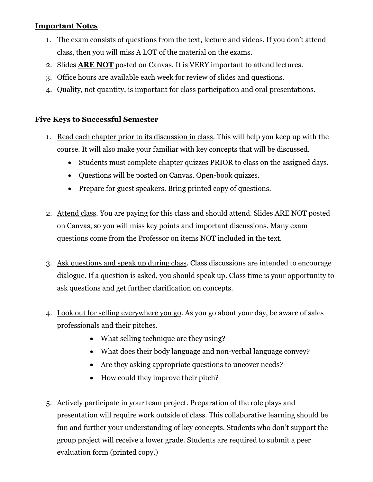#### **Important Notes**

- 1. The exam consists of questions from the text, lecture and videos. If you don't attend class, then you will miss A LOT of the material on the exams.
- 2. Slides **ARE NOT** posted on Canvas. It is VERY important to attend lectures.
- 3. Office hours are available each week for review of slides and questions.
- 4. Quality, not quantity, is important for class participation and oral presentations.

## **Five Keys to Successful Semester**

- 1. Read each chapter prior to its discussion in class. This will help you keep up with the course. It will also make your familiar with key concepts that will be discussed.
	- Students must complete chapter quizzes PRIOR to class on the assigned days.
	- Questions will be posted on Canvas. Open-book quizzes.
	- Prepare for guest speakers. Bring printed copy of questions.
- 2. Attend class. You are paying for this class and should attend. Slides ARE NOT posted on Canvas, so you will miss key points and important discussions. Many exam questions come from the Professor on items NOT included in the text.
- 3. Ask questions and speak up during class. Class discussions are intended to encourage dialogue. If a question is asked, you should speak up. Class time is your opportunity to ask questions and get further clarification on concepts.
- 4. Look out for selling everywhere you go. As you go about your day, be aware of sales professionals and their pitches.
	- What selling technique are they using?
	- What does their body language and non-verbal language convey?
	- Are they asking appropriate questions to uncover needs?
	- How could they improve their pitch?
- 5. Actively participate in your team project. Preparation of the role plays and presentation will require work outside of class. This collaborative learning should be fun and further your understanding of key concepts. Students who don't support the group project will receive a lower grade. Students are required to submit a peer evaluation form (printed copy.)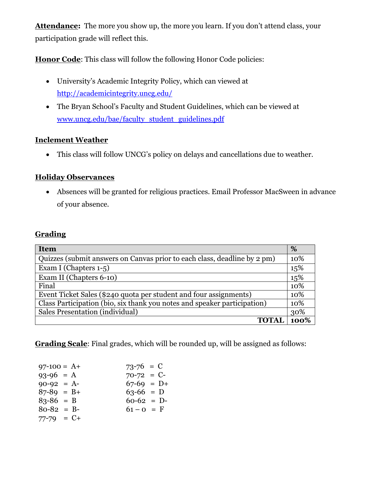**Attendance:** The more you show up, the more you learn. If you don't attend class, your participation grade will reflect this.

**Honor Code**: This class will follow the following Honor Code policies:

- University's Academic Integrity Policy, which can viewed at <http://academicintegrity.uncg.edu/>
- The Bryan School's Faculty and Student Guidelines, which can be viewed at [www.uncg.edu/bae/faculty\\_student\\_guidelines.pdf](http://www.uncg.edu/bae/faculty_student_guidelines.pdf)

## **Inclement Weather**

This class will follow UNCG's policy on delays and cancellations due to weather.

#### **Holiday Observances**

 Absences will be granted for religious practices. Email Professor MacSween in advance of your absence.

## **Grading**

| <b>Item</b>                                                              | %    |
|--------------------------------------------------------------------------|------|
| Quizzes (submit answers on Canvas prior to each class, deadline by 2 pm) | 10%  |
| Exam I (Chapters 1-5)                                                    | 15%  |
| Exam II (Chapters 6-10)                                                  | 15%  |
| Final                                                                    | 10%  |
| Event Ticket Sales (\$240 quota per student and four assignments)        | 10%  |
| Class Participation (bio, six thank you notes and speaker participation) | 10%  |
| Sales Presentation (individual)                                          | 30%  |
| <b>TOTAL</b>                                                             | 100% |

**Grading Scale**: Final grades, which will be rounded up, will be assigned as follows:

| $97-100 = A+$   | $73-76 = C$  |  |
|-----------------|--------------|--|
| $93-96 = A$     | $70-72 = C$  |  |
| $90-92 = A$     | $67-69 = D+$ |  |
| $87 - 89 = B +$ | $63-66$ = D  |  |
| $83 - 86 = B$   | $60-62 = D$  |  |
| $80-82 = B$     | $61 - 0 = F$ |  |
| $77 - 79 = C +$ |              |  |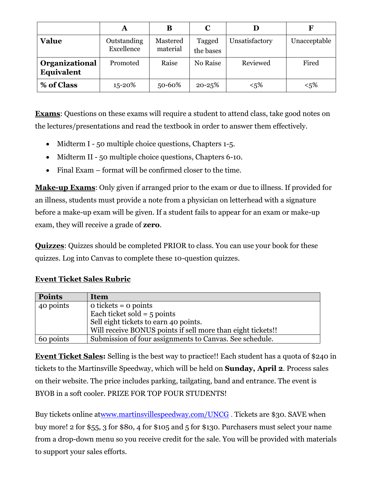|                                     | A                         | В                    | $\mathbf C$         |                | F            |
|-------------------------------------|---------------------------|----------------------|---------------------|----------------|--------------|
| <b>Value</b>                        | Outstanding<br>Excellence | Mastered<br>material | Tagged<br>the bases | Unsatisfactory | Unacceptable |
| Organizational<br><b>Equivalent</b> | Promoted                  | Raise                | No Raise            | Reviewed       | Fired        |
| % of Class                          | $15 - 20%$                | 50-60%               | $20 - 25%$          | $< 5\%$        | $< 5\%$      |

**Exams**: Questions on these exams will require a student to attend class, take good notes on the lectures/presentations and read the textbook in order to answer them effectively.

- Midterm I 50 multiple choice questions, Chapters 1-5.
- Midterm II 50 multiple choice questions, Chapters 6-10.
- Final Exam format will be confirmed closer to the time.

**Make-up Exams**: Only given if arranged prior to the exam or due to illness. If provided for an illness, students must provide a note from a physician on letterhead with a signature before a make-up exam will be given. If a student fails to appear for an exam or make-up exam, they will receive a grade of **zero**.

**Quizzes**: Quizzes should be completed PRIOR to class. You can use your book for these quizzes. Log into Canvas to complete these 10-question quizzes.

# **Event Ticket Sales Rubric**

| <b>Points</b> | Item                                                        |
|---------------|-------------------------------------------------------------|
| 40 points     | $\alpha$ tickets = $\alpha$ points                          |
|               | Each ticket sold = $5$ points                               |
|               | Sell eight tickets to earn 40 points.                       |
|               | Will receive BONUS points if sell more than eight tickets!! |
| 60 points     | Submission of four assignments to Canvas. See schedule.     |

**Event Ticket Sales:** Selling is the best way to practice!! Each student has a quota of \$240 in tickets to the Martinsville Speedway, which will be held on **Sunday, April 2**. Process sales on their website. The price includes parking, tailgating, band and entrance. The event is BYOB in a soft cooler. PRIZE FOR TOP FOUR STUDENTS!

Buy tickets online a[twww.martinsvillespeedway.com/UNCG](http://www.martinsvillespeedway.com/UNCG) . Tickets are \$30. SAVE when buy more! 2 for \$55, 3 for \$80, 4 for \$105 and 5 for \$130. Purchasers must select your name from a drop-down menu so you receive credit for the sale. You will be provided with materials to support your sales efforts.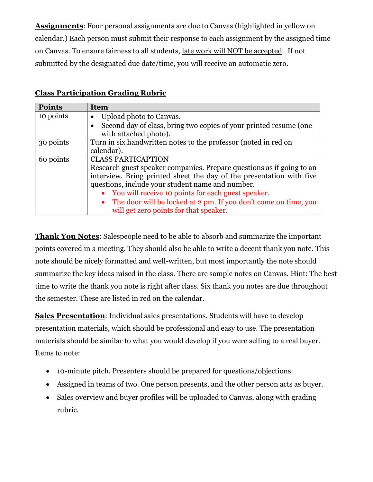**Assignments**: Four personal assignments are due to Canvas (highlighted in yellow on calendar.) Each person must submit their response to each assignment by the assigned time on Canvas. To ensure fairness to all students, late work will NOT be accepted. If not submitted by the designated due date/time, you will receive an automatic zero.

| <b>Points</b> | Item                                                                  |
|---------------|-----------------------------------------------------------------------|
| 10 points     | Upload photo to Canvas.                                               |
|               | Second day of class, bring two copies of your printed resume (one     |
|               | with attached photo).                                                 |
| 30 points     | Turn in six handwritten notes to the professor (noted in red on       |
|               | calendar).                                                            |
| 60 points     | <b>CLASS PARTICAPTION</b>                                             |
|               | Research guest speaker companies. Prepare questions as if going to an |
|               | interview. Bring printed sheet the day of the presentation with five  |
|               | questions, include your student name and number.                      |
|               | • You will receive 10 points for each guest speaker.                  |
|               | • The door will be locked at 2 pm. If you don't come on time, you     |
|               | will get zero points for that speaker.                                |

# **Class Participation Grading Rubric**

**Thank You Notes**: Salespeople need to be able to absorb and summarize the important points covered in a meeting. They should also be able to write a decent thank you note. This note should be nicely formatted and well-written, but most importantly the note should summarize the key ideas raised in the class. There are sample notes on Canvas. Hint: The best time to write the thank you note is right after class. Six thank you notes are due throughout the semester. These are listed in red on the calendar.

**Sales Presentation**: Individual sales presentations. Students will have to develop presentation materials, which should be professional and easy to use. The presentation materials should be similar to what you would develop if you were selling to a real buyer. Items to note:

- 10-minute pitch. Presenters should be prepared for questions/objections.
- Assigned in teams of two. One person presents, and the other person acts as buyer.
- Sales overview and buyer profiles will be uploaded to Canvas, along with grading rubric.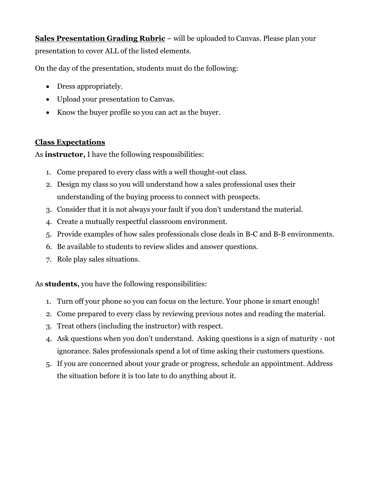**Sales Presentation Grading Rubric** – will be uploaded to Canvas. Please plan your presentation to cover ALL of the listed elements.

On the day of the presentation, students must do the following:

- Dress appropriately.
- Upload your presentation to Canvas.
- Know the buyer profile so you can act as the buyer.

## **Class Expectations**

As **instructor,** I have the following responsibilities:

- 1. Come prepared to every class with a well thought-out class.
- 2. Design my class so you will understand how a sales professional uses their understanding of the buying process to connect with prospects.
- 3. Consider that it is not always your fault if you don't understand the material.
- 4. Create a mutually respectful classroom environment.
- 5. Provide examples of how sales professionals close deals in B-C and B-B environments.
- 6. Be available to students to review slides and answer questions.
- 7. Role play sales situations.

As **students,** you have the following responsibilities:

- 1. Turn off your phone so you can focus on the lecture. Your phone is smart enough!
- 2. Come prepared to every class by reviewing previous notes and reading the material.
- 3. Treat others (including the instructor) with respect.
- 4. Ask questions when you don't understand. Asking questions is a sign of maturity not ignorance. Sales professionals spend a lot of time asking their customers questions.
- 5. If you are concerned about your grade or progress, schedule an appointment. Address the situation before it is too late to do anything about it.